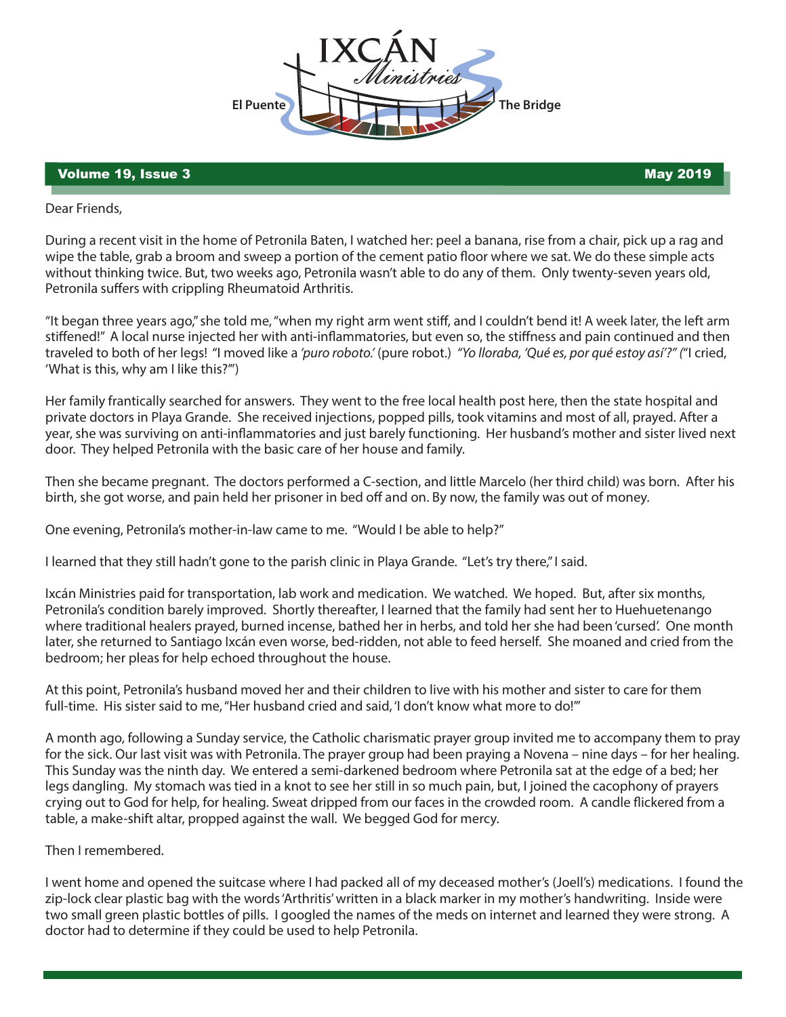

## volume 19, Issue 3 May 2019

Dear Friends,

During a recent visit in the home of Petronila Baten, I watched her: peel a banana, rise from a chair, pick up a rag and wipe the table, grab a broom and sweep a portion of the cement patio floor where we sat. We do these simple acts without thinking twice. But, two weeks ago, Petronila wasn't able to do any of them. Only twenty-seven years old, Petronila suffers with crippling Rheumatoid Arthritis.

"It began three years ago," she told me, "when my right arm went stiff, and I couldn't bend it! A week later, the left arm stiffened!" A local nurse injected her with anti-inflammatories, but even so, the stiffness and pain continued and then traveled to both of her legs! "I moved like a *'puro roboto.'* (pure robot.) *"Yo lloraba, 'Qué es, por qué estoy así'?" (*"I cried, 'What is this, why am I like this?'")

Her family frantically searched for answers. They went to the free local health post here, then the state hospital and private doctors in Playa Grande. She received injections, popped pills, took vitamins and most of all, prayed. After a year, she was surviving on anti-inflammatories and just barely functioning. Her husband's mother and sister lived next door. They helped Petronila with the basic care of her house and family.

Then she became pregnant. The doctors performed a C-section, and little Marcelo (her third child) was born. After his birth, she got worse, and pain held her prisoner in bed off and on. By now, the family was out of money.

One evening, Petronila's mother-in-law came to me. "Would I be able to help?"

I learned that they still hadn't gone to the parish clinic in Playa Grande. "Let's try there," I said.

Ixcán Ministries paid for transportation, lab work and medication. We watched. We hoped. But, after six months, Petronila's condition barely improved. Shortly thereafter, I learned that the family had sent her to Huehuetenango where traditional healers prayed, burned incense, bathed her in herbs, and told her she had been 'cursed'. One month later, she returned to Santiago Ixcán even worse, bed-ridden, not able to feed herself. She moaned and cried from the bedroom; her pleas for help echoed throughout the house.

At this point, Petronila's husband moved her and their children to live with his mother and sister to care for them full-time. His sister said to me, "Her husband cried and said, 'I don't know what more to do!"

A month ago, following a Sunday service, the Catholic charismatic prayer group invited me to accompany them to pray for the sick. Our last visit was with Petronila. The prayer group had been praying a Novena – nine days – for her healing. This Sunday was the ninth day. We entered a semi-darkened bedroom where Petronila sat at the edge of a bed; her legs dangling. My stomach was tied in a knot to see her still in so much pain, but, I joined the cacophony of prayers crying out to God for help, for healing. Sweat dripped from our faces in the crowded room. A candle flickered from a table, a make-shift altar, propped against the wall. We begged God for mercy.

Then I remembered.

I went home and opened the suitcase where I had packed all of my deceased mother's (Joell's) medications. I found the zip-lock clear plastic bag with the words 'Arthritis' written in a black marker in my mother's handwriting. Inside were two small green plastic bottles of pills. I googled the names of the meds on internet and learned they were strong. A doctor had to determine if they could be used to help Petronila.